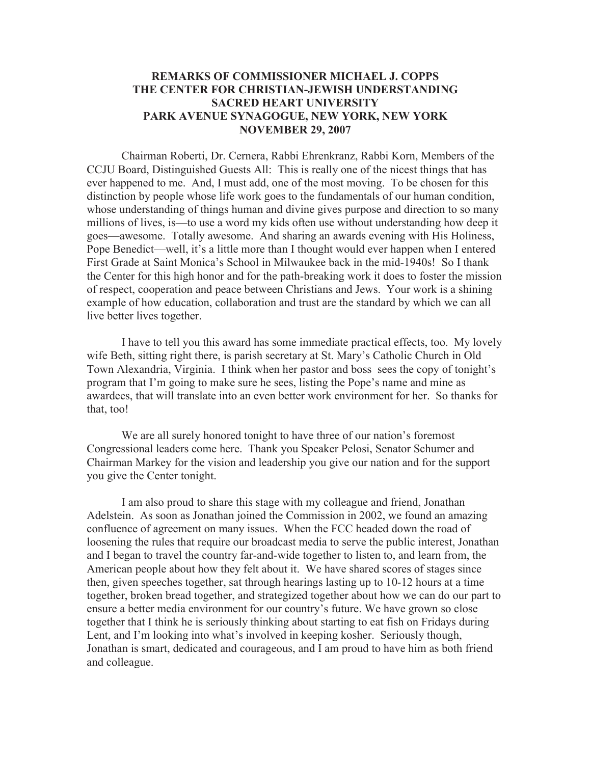## **REMARKS OF COMMISSIONER MICHAEL J. COPPS THE CENTER FOR CHRISTIAN-JEWISH UNDERSTANDING SACRED HEART UNIVERSITY PARK AVENUE SYNAGOGUE, NEW YORK, NEW YORK NOVEMBER 29, 2007**

Chairman Roberti, Dr. Cernera, Rabbi Ehrenkranz, Rabbi Korn, Members of the CCJU Board, Distinguished Guests All: This is really one of the nicest things that has ever happened to me. And, I must add, one of the most moving. To be chosen for this distinction by people whose life work goes to the fundamentals of our human condition, whose understanding of things human and divine gives purpose and direction to so many millions of lives, is—to use a word my kids often use without understanding how deep it goes—awesome. Totally awesome. And sharing an awards evening with His Holiness, Pope Benedict—well, it's a little more than I thought would ever happen when I entered First Grade at Saint Monica's School in Milwaukee back in the mid-1940s! So I thank the Center for this high honor and for the path-breaking work it does to foster the mission of respect, cooperation and peace between Christians and Jews. Your work is a shining example of how education, collaboration and trust are the standard by which we can all live better lives together.

I have to tell you this award has some immediate practical effects, too. My lovely wife Beth, sitting right there, is parish secretary at St. Mary's Catholic Church in Old Town Alexandria, Virginia. I think when her pastor and boss sees the copy of tonight's program that I'm going to make sure he sees, listing the Pope's name and mine as awardees, that will translate into an even better work environment for her. So thanks for that, too!

We are all surely honored tonight to have three of our nation's foremost Congressional leaders come here. Thank you Speaker Pelosi, Senator Schumer and Chairman Markey for the vision and leadership you give our nation and for the support you give the Center tonight.

I am also proud to share this stage with my colleague and friend, Jonathan Adelstein. As soon as Jonathan joined the Commission in 2002, we found an amazing confluence of agreement on many issues. When the FCC headed down the road of loosening the rules that require our broadcast media to serve the public interest, Jonathan and I began to travel the country far-and-wide together to listen to, and learn from, the American people about how they felt about it. We have shared scores of stages since then, given speeches together, sat through hearings lasting up to 10-12 hours at a time together, broken bread together, and strategized together about how we can do our part to ensure a better media environment for our country's future. We have grown so close together that I think he is seriously thinking about starting to eat fish on Fridays during Lent, and I'm looking into what's involved in keeping kosher. Seriously though, Jonathan is smart, dedicated and courageous, and I am proud to have him as both friend and colleague.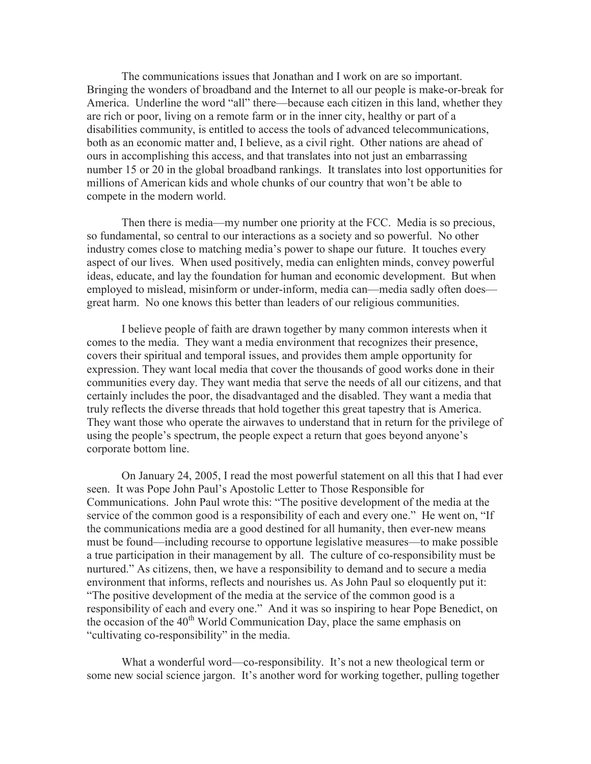The communications issues that Jonathan and I work on are so important. Bringing the wonders of broadband and the Internet to all our people is make-or-break for America. Underline the word "all" there—because each citizen in this land, whether they are rich or poor, living on a remote farm or in the inner city, healthy or part of a disabilities community, is entitled to access the tools of advanced telecommunications, both as an economic matter and, I believe, as a civil right. Other nations are ahead of ours in accomplishing this access, and that translates into not just an embarrassing number 15 or 20 in the global broadband rankings. It translates into lost opportunities for millions of American kids and whole chunks of our country that won't be able to compete in the modern world.

Then there is media—my number one priority at the FCC. Media is so precious, so fundamental, so central to our interactions as a society and so powerful. No other industry comes close to matching media's power to shape our future. It touches every aspect of our lives. When used positively, media can enlighten minds, convey powerful ideas, educate, and lay the foundation for human and economic development. But when employed to mislead, misinform or under-inform, media can—media sadly often does great harm. No one knows this better than leaders of our religious communities.

I believe people of faith are drawn together by many common interests when it comes to the media. They want a media environment that recognizes their presence, covers their spiritual and temporal issues, and provides them ample opportunity for expression. They want local media that cover the thousands of good works done in their communities every day. They want media that serve the needs of all our citizens, and that certainly includes the poor, the disadvantaged and the disabled. They want a media that truly reflects the diverse threads that hold together this great tapestry that is America. They want those who operate the airwaves to understand that in return for the privilege of using the people's spectrum, the people expect a return that goes beyond anyone's corporate bottom line.

On January 24, 2005, I read the most powerful statement on all this that I had ever seen. It was Pope John Paul's Apostolic Letter to Those Responsible for Communications. John Paul wrote this: "The positive development of the media at the service of the common good is a responsibility of each and every one." He went on, "If the communications media are a good destined for all humanity, then ever-new means must be found—including recourse to opportune legislative measures—to make possible a true participation in their management by all. The culture of co-responsibility must be nurtured." As citizens, then, we have a responsibility to demand and to secure a media environment that informs, reflects and nourishes us. As John Paul so eloquently put it: "The positive development of the media at the service of the common good is a responsibility of each and every one." And it was so inspiring to hear Pope Benedict, on the occasion of the 40<sup>th</sup> World Communication Day, place the same emphasis on "cultivating co-responsibility" in the media.

What a wonderful word—co-responsibility. It's not a new theological term or some new social science jargon. It's another word for working together, pulling together